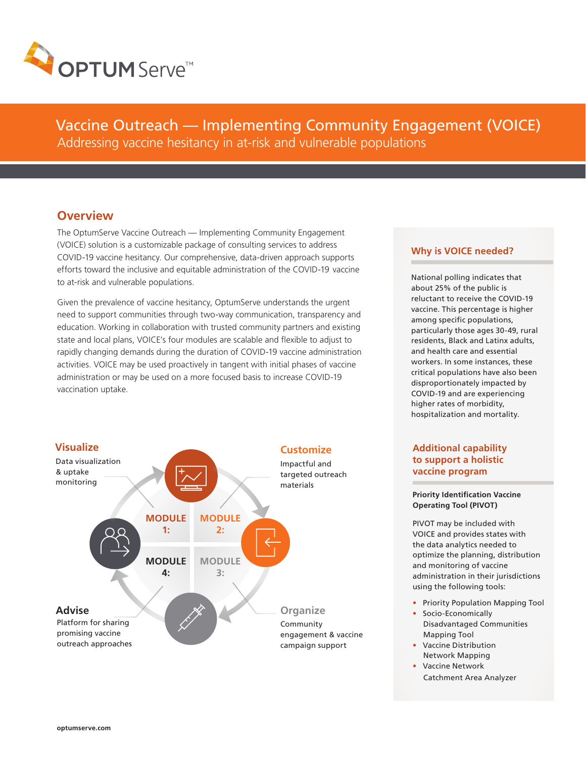

Vaccine Outreach — Implementing Community Engagement (VOICE) Addressing vaccine hesitancy in at-risk and vulnerable populations

# **Overview**

The OptumServe Vaccine Outreach — Implementing Community Engagement (VOICE) solution is a customizable package of consulting services to address COVID-19 vaccine hesitancy. Our comprehensive, data-driven approach supports efforts toward the inclusive and equitable administration of the COVID-19 vaccine to at-risk and vulnerable populations.

Given the prevalence of vaccine hesitancy, OptumServe understands the urgent need to support communities through two-way communication, transparency and education. Working in collaboration with trusted community partners and existing state and local plans, VOICE's four modules are scalable and flexible to adjust to rapidly changing demands during the duration of COVID-19 vaccine administration activities. VOICE may be used proactively in tangent with initial phases of vaccine administration or may be used on a more focused basis to increase COVID-19 vaccination uptake.



### **Why is VOICE needed?**

National polling indicates that about 25% of the public is reluctant to receive the COVID-19 vaccine. This percentage is higher among specific populations, particularly those ages 30-49, rural residents, Black and Latinx adults, and health care and essential workers. In some instances, these critical populations have also been disproportionately impacted by COVID-19 and are experiencing higher rates of morbidity, hospitalization and mortality.

## **Additional capability to support a holistic vaccine program**

#### **Priority Identification Vaccine Operating Tool (PIVOT)**

PIVOT may be included with VOICE and provides states with the data analytics needed to optimize the planning, distribution and monitoring of vaccine administration in their jurisdictions using the following tools:

- Priority Population Mapping Tool
- Socio-Economically Disadvantaged Communities Mapping Tool
- Vaccine Distribution Network Mapping
- Vaccine Network Catchment Area Analyzer